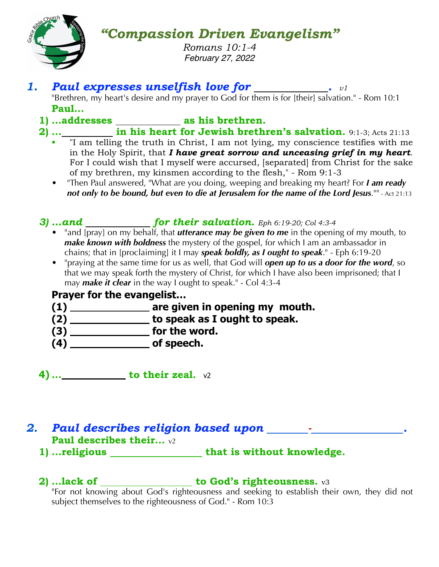

# *"Compassion Driven Evangelism"*

*Romans 10:1-4 February 27, 2022*

# *1. Paul expresses unselfish love for . v1*

"Brethren, my heart's desire and my prayer to God for them is for [their] salvation." - Rom 10:1 **Paul…**

# 1) **…addresses** \_\_\_\_\_\_\_\_\_\_\_\_\_\_ as his brethren.

# **2) … in his heart for Jewish brethren's salvation.** 9:1-3; Acts 21:13

- **•** "I am telling the truth in Christ, I am not lying, my conscience testifies with me in the Holy Spirit, that *I have great sorrow and unceasing grief in my heart*. For I could wish that I myself were accursed, [separated] from Christ for the sake of my brethren, my kinsmen according to the flesh," - Rom 9:1-3
- "Then Paul answered, "What are you doing, weeping and breaking my heart? For *I am ready not only to be bound, but even to die at Jerusalem for the name of the Lord Jesus*."" - Act 21:13

# *3) …and for their salvation. Eph 6:19-20; Col 4:3-4*

- "and [pray] on my behalf, that *utterance may be given to me* in the opening of my mouth, to *make known with boldness* the mystery of the gospel, for which I am an ambassador in chains; that in [proclaiming] it I may *speak boldly, as I ought to speak*." - Eph 6:19-20
- "praying at the same time for us as well, that God will *open up to us a door for the word*, so that we may speak forth the mystery of Christ, for which I have also been imprisoned; that I may *make it clear* in the way I ought to speak." - Col 4:3-4

### **Prayer for the evangelist…**

- (1) \_\_\_\_\_\_\_\_\_\_\_\_\_\_\_ are given in opening my mouth.
- **(2) to speak as I ought to speak.**
- **(3)** \_\_\_\_\_\_\_\_\_\_\_\_\_\_\_\_\_\_ for the word.
- **(4) of speech.**

**4) … to their zeal.** v2

## *2. Paul describes religion based upon - .* **Paul describes their…** v2

1) **…religious** \_\_\_\_\_\_\_\_\_\_\_\_\_\_\_\_\_that is without knowledge.

# **2)** …lack of \_\_\_\_\_\_\_\_\_\_\_\_\_\_\_\_\_ to God's righteousness.  $v3$

"For not knowing about God's righteousness and seeking to establish their own, they did not subject themselves to the righteousness of God." - Rom 10:3